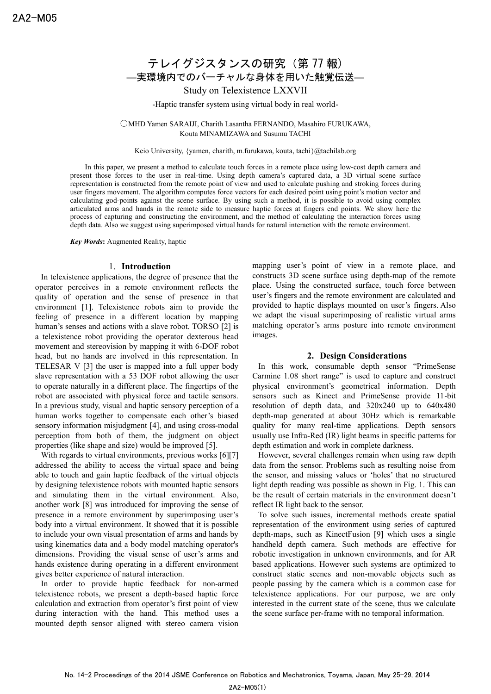# テレイグジスタンスの研究 (第 77 報) ―実環境内でのバーチャルな身体を用いた触覚伝送―

Study on Telexistence LXXVII

-Haptic transfer system using virtual body in real world-

○MHD Yamen SARAIJI, Charith Lasantha FERNANDO, Masahiro FURUKAWA, Kouta MINAMIZAWA and Susumu TACHI

Keio University, {yamen, charith, m.furukawa, kouta, tachi}@tachilab.org

In this paper, we present a method to calculate touch forces in a remote place using low-cost depth camera and present those forces to the user in real-time. Using depth camera"s captured data, a 3D virtual scene surface representation is constructed from the remote point of view and used to calculate pushing and stroking forces during user fingers movement. The algorithm computes force vectors for each desired point using point"s motion vector and calculating god-points against the scene surface. By using such a method, it is possible to avoid using complex articulated arms and hands in the remote side to measure haptic forces at fingers end points. We show here the process of capturing and constructing the environment, and the method of calculating the interaction forces using depth data. Also we suggest using superimposed virtual hands for natural interaction with the remote environment.

*Key Words***:** Augmented Reality, haptic

#### 1. **Introduction**

In telexistence applications, the degree of presence that the operator perceives in a remote environment reflects the quality of operation and the sense of presence in that environment [1]. Telexistence robots aim to provide the feeling of presence in a different location by mapping human's senses and actions with a slave robot. TORSO [2] is a telexistence robot providing the operator dexterous head movement and stereovision by mapping it with 6-DOF robot head, but no hands are involved in this representation. In TELESAR V [3] the user is mapped into a full upper body slave representation with a 53 DOF robot allowing the user to operate naturally in a different place. The fingertips of the robot are associated with physical force and tactile sensors. In a previous study, visual and haptic sensory perception of a human works together to compensate each other"s biased sensory information misjudgment [4], and using cross-modal perception from both of them, the judgment on object properties (like shape and size) would be improved [5].

With regards to virtual environments, previous works [6][7] addressed the ability to access the virtual space and being able to touch and gain haptic feedback of the virtual objects by designing telexistence robots with mounted haptic sensors and simulating them in the virtual environment. Also, another work [8] was introduced for improving the sense of presence in a remote environment by superimposing user's body into a virtual environment. It showed that it is possible to include your own visual presentation of arms and hands by using kinematics data and a body model matching operator's dimensions. Providing the visual sense of user's arms and hands existence during operating in a different environment gives better experience of natural interaction.

In order to provide haptic feedback for non-armed telexistence robots, we present a depth-based haptic force calculation and extraction from operator's first point of view during interaction with the hand. This method uses a mounted depth sensor aligned with stereo camera vision

mapping user's point of view in a remote place, and constructs 3D scene surface using depth-map of the remote place. Using the constructed surface, touch force between user"s fingers and the remote environment are calculated and provided to haptic displays mounted on user"s fingers. Also we adapt the visual superimposing of realistic virtual arms matching operator's arms posture into remote environment images.

### **2. Design Considerations**

In this work, consumable depth sensor "PrimeSense Carmine 1.08 short range" is used to capture and construct physical environment"s geometrical information. Depth sensors such as Kinect and PrimeSense provide 11-bit resolution of depth data, and 320x240 up to 640x480 depth-map generated at about 30Hz which is remarkable quality for many real-time applications. Depth sensors usually use Infra-Red (IR) light beams in specific patterns for depth estimation and work in complete darkness.

However, several challenges remain when using raw depth data from the sensor. Problems such as resulting noise from the sensor, and missing values or "holes" that no structured light depth reading was possible as shown in Fig. 1. This can be the result of certain materials in the environment doesn"t reflect IR light back to the sensor.

To solve such issues, incremental methods create spatial representation of the environment using series of captured depth-maps, such as KinectFusion [9] which uses a single handheld depth camera. Such methods are effective for robotic investigation in unknown environments, and for AR based applications. However such systems are optimized to construct static scenes and non-movable objects such as people passing by the camera which is a common case for telexistence applications. For our purpose, we are only interested in the current state of the scene, thus we calculate the scene surface per-frame with no temporal information.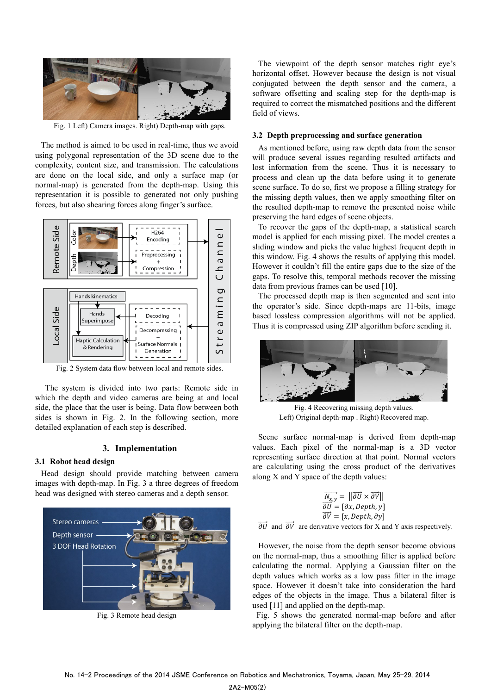

Fig. 1 Left) Camera images. Right) Depth-map with gaps.

The method is aimed to be used in real-time, thus we avoid using polygonal representation of the 3D scene due to the complexity, content size, and transmission. The calculations are done on the local side, and only a surface map (or normal-map) is generated from the depth-map. Using this representation it is possible to generated not only pushing forces, but also shearing forces along finger's surface.



Fig. 2 System data flow between local and remote sides.

The system is divided into two parts: Remote side in which the depth and video cameras are being at and local side, the place that the user is being. Data flow between both sides is shown in Fig. 2. In the following section, more detailed explanation of each step is described.

#### **3. Implementation**

## **3.1 Robot head design**

Head design should provide matching between camera images with depth-map. In Fig. 3 a three degrees of freedom head was designed with stereo cameras and a depth sensor.



Fig. 3 Remote head design

The viewpoint of the depth sensor matches right eye"s horizontal offset. However because the design is not visual conjugated between the depth sensor and the camera, a software offsetting and scaling step for the depth-map is required to correct the mismatched positions and the different field of views.

#### **3.2 Depth preprocessing and surface generation**

As mentioned before, using raw depth data from the sensor will produce several issues regarding resulted artifacts and lost information from the scene. Thus it is necessary to process and clean up the data before using it to generate scene surface. To do so, first we propose a filling strategy for the missing depth values, then we apply smoothing filter on the resulted depth-map to remove the presented noise while preserving the hard edges of scene objects.

To recover the gaps of the depth-map, a statistical search model is applied for each missing pixel. The model creates a sliding window and picks the value highest frequent depth in this window. Fig. 4 shows the results of applying this model. However it couldn"t fill the entire gaps due to the size of the gaps. To resolve this, temporal methods recover the missing data from previous frames can be used [10].

The processed depth map is then segmented and sent into the operator"s side. Since depth-maps are 11-bits, image based lossless compression algorithms will not be applied. Thus it is compressed using ZIP algorithm before sending it.



Fig. 4 Recovering missing depth values. Left) Original depth-map . Right) Recovered map.

Scene surface normal-map is derived from depth-map values. Each pixel of the normal-map is a 3D vector representing surface direction at that point. Normal vectors are calculating using the cross product of the derivatives along X and Y space of the depth values:

$$
\overrightarrow{N_{x,y}} = \|\overrightarrow{\partial U} \times \overrightarrow{\partial V}\|
$$
  
\n
$$
\overrightarrow{\partial U} = [\partial x, Depth, y]
$$
  
\n
$$
\overrightarrow{\partial V} = [x, Depth, \partial y]
$$

 $\overrightarrow{\partial U}$  and  $\overrightarrow{\partial V}$  are derivative vectors for X and Y axis respectively.

However, the noise from the depth sensor become obvious on the normal-map, thus a smoothing filter is applied before calculating the normal. Applying a Gaussian filter on the depth values which works as a low pass filter in the image space. However it doesn"t take into consideration the hard edges of the objects in the image. Thus a bilateral filter is used [11] and applied on the depth-map.

Fig. 5 shows the generated normal-map before and after applying the bilateral filter on the depth-map.